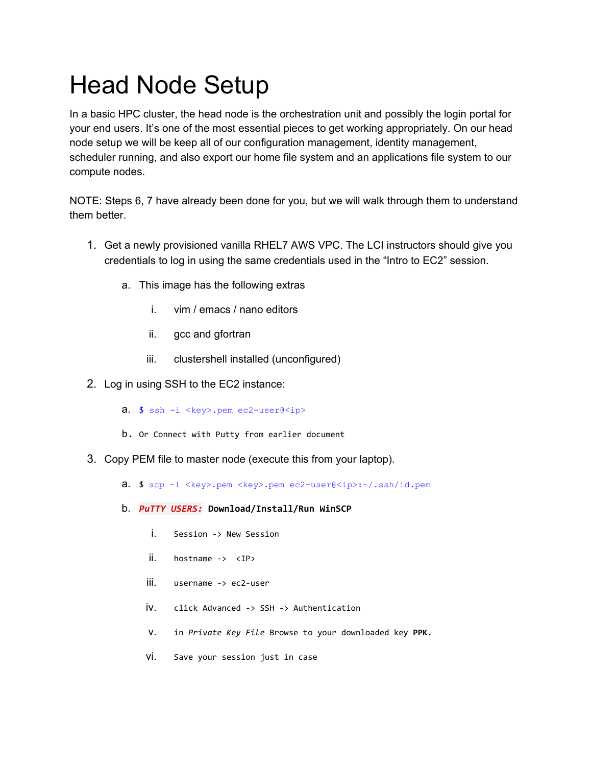## Head Node Setup

In a basic HPC cluster, the head node is the orchestration unit and possibly the login portal for your end users. It's one of the most essential pieces to get working appropriately. On our head node setup we will be keep all of our configuration management, identity management, scheduler running, and also export our home file system and an applications file system to our compute nodes.

NOTE: Steps 6, 7 have already been done for you, but we will walk through them to understand them better.

- 1. Get a newly provisioned vanilla RHEL7 AWS VPC. The LCI instructors should give you credentials to log in using the same credentials used in the "Intro to EC2" session.
	- a. This image has the following extras
		- i. vim / emacs / nano editors
		- ii. gcc and gfortran
		- iii. clustershell installed (unconfigured)
- 2. Log in using SSH to the EC2 instance:
	- **a.**  $$$  ssh -i <key>.pem ec2-user@<ip>
	- b. Or Connect with Putty from earlier document
- 3. Copy PEM file to master node (execute this from your laptop).
	- a. \$ scp -i <key>.pem <key>.pem ec2-user@<ip>:~/.ssh/id.pem
	- b. *PuTTY USERS:* **Download/Install/Run WinSCP**
		- i. Session -> New Session
		- ii. hostname -> <IP>
		- iii. username -> ec2-user
		- iv. click Advanced -> SSH -> Authentication
		- v. in *Private Key File* Browse to your downloaded key **PPK**.
		- vi. Save your session just in case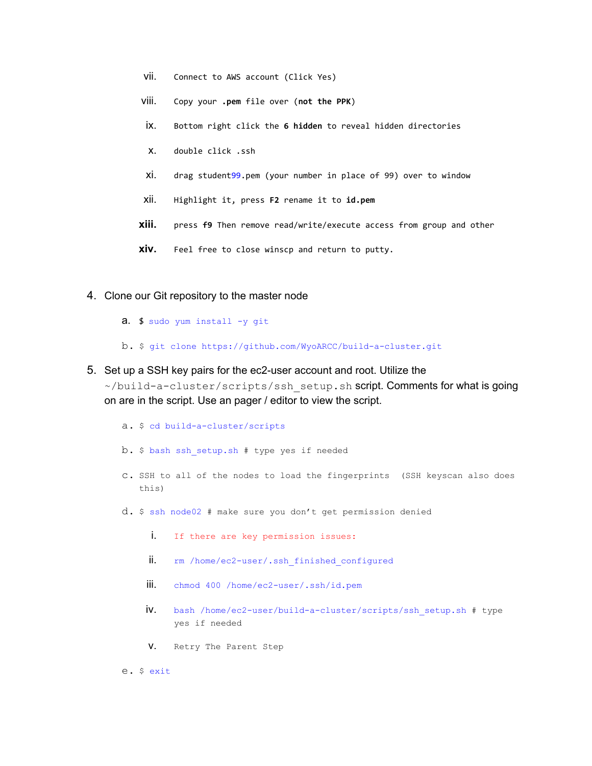- vii. Connect to AWS account (Click Yes)
- viii. Copy your **.pem** file over (**not the PPK**)
- ix. Bottom right click the **6 hidden** to reveal hidden directories
- x. double click .ssh
- xi. drag student99.pem (your number in place of 99) over to window
- xii. Highlight it, press **F2** rename it to **id.pem**
- **xiii.** press **f9** Then remove read/write/execute access from group and other
- **xiv.** Feel free to close winscp and return to putty.
- 4. Clone our Git repository to the master node
	- a. \$ sudo yum install -y git
	- b. \$ git clone<https://github.com/WyoARCC/build-a-cluster.git>
- 5. Set up a SSH key pairs for the ec2-user account and root. Utilize the ~/build-a-cluster/scripts/ssh\_setup.sh script. Comments for what is going

on are in the script. Use an pager / editor to view the script.

- a. \$ cd build-a-cluster/scripts
- b. \$ bash ssh\_setup.sh # type yes if needed
- c. SSH to all of the nodes to load the fingerprints (SSH keyscan also does this)
- d. \$ ssh node02 # make sure you don't get permission denied
	- i. If there are key permission issues:
	- ii. rm /home/ec2-user/.ssh finished configured
	- iii. chmod 400 /home/ec2-user/.ssh/id.pem
	- iv. bash /home/ec2-user/build-a-cluster/scripts/ssh\_setup.sh # type yes if needed
	- v. Retry The Parent Step

e. \$ exit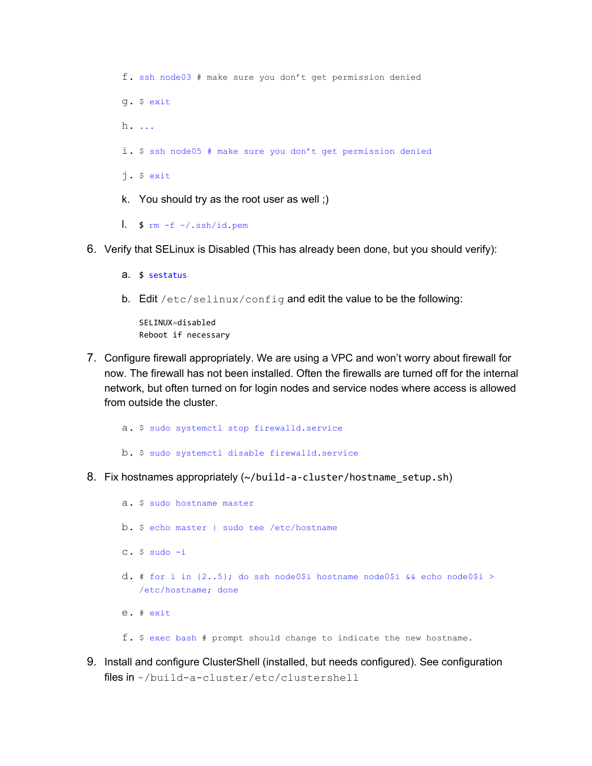f. ssh node03 # make sure you don't get permission denied g. \$ exit h. ... i. \$ ssh node05 # make sure you don't get permission denied j. \$ exit k. You should try as the root user as well ;) 1.  $\frac{1}{2}$  rm -f ~/.ssh/id.pem

- 6. Verify that SELinux is Disabled (This has already been done, but you should verify):
	- a. \$ sestatus
	- b. Edit /etc/selinux/config and edit the value to be the following:

SELINUX=disabled Reboot if necessary

7. Configure firewall appropriately. We are using a VPC and won't worry about firewall for now. The firewall has not been installed. Often the firewalls are turned off for the internal network, but often turned on for login nodes and service nodes where access is allowed from outside the cluster.

a. \$ sudo systemctl stop firewalld.service b. \$ sudo systemctl disable firewalld.service

8. Fix hostnames appropriately (~/build-a-cluster/hostname\_setup.sh)

a. \$ sudo hostname master b. \$ echo master | sudo tee /etc/hostname c. \$ sudo -i d. # for i in  $\{2..5\}$ ; do ssh node0\$i hostname node0\$i && echo node0\$i > /etc/hostname; done e. # exit

- f. \$ exec bash # prompt should change to indicate the new hostname.
- 9. Install and configure ClusterShell (installed, but needs configured). See configuration files in ~/build-a-cluster/etc/clustershell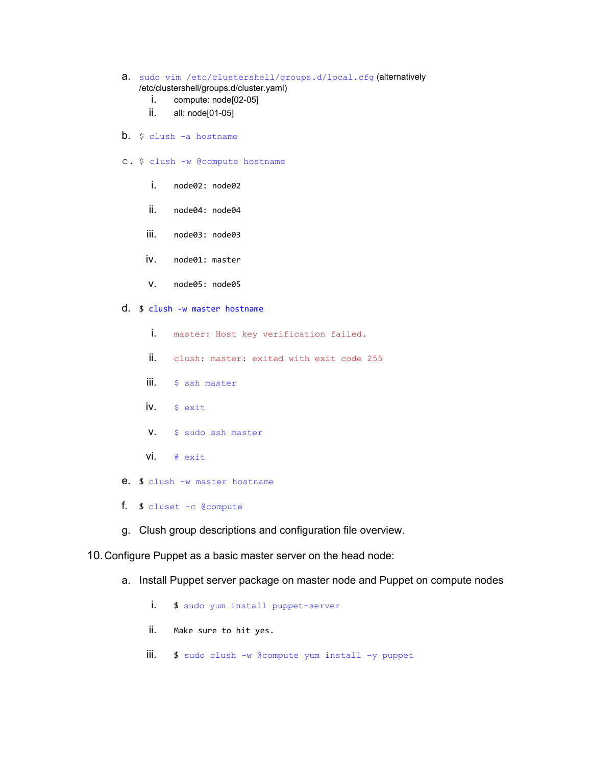- a. sudo vim /etc/clustershell/groups.d/local.cfg (alternatively /etc/clustershell/groups.d/cluster.yaml)
	- i. compute: node[02-05]
	- ii. all: node[01-05]
- b. \$ clush -a hostname
- c. \$ clush -w @compute hostname
	- i. node02: node02
	- ii. node04: node04
	- iii. node03: node03
	- iv. node01: master
	- v. node05: node05
- d. \$ clush -w master hostname
	- i. master: Host key verification failed.
	- $\mathbf{ii}$ . clush: master: exited with exit code 255
	- iii. \$ ssh master
	- iv. \$ exit
	- v. \$ sudo ssh master
	- vi. # exit
- e. \$ clush -w master hostname
- f. \$ cluset -c @compute
- g. Clush group descriptions and configuration file overview.

10.Configure Puppet as a basic master server on the head node:

- a. Install Puppet server package on master node and Puppet on compute nodes
	- i. \$ sudo yum install puppet-server
	- ii. Make sure to hit yes.
	- iii. \$ sudo clush -w @compute yum install -y puppet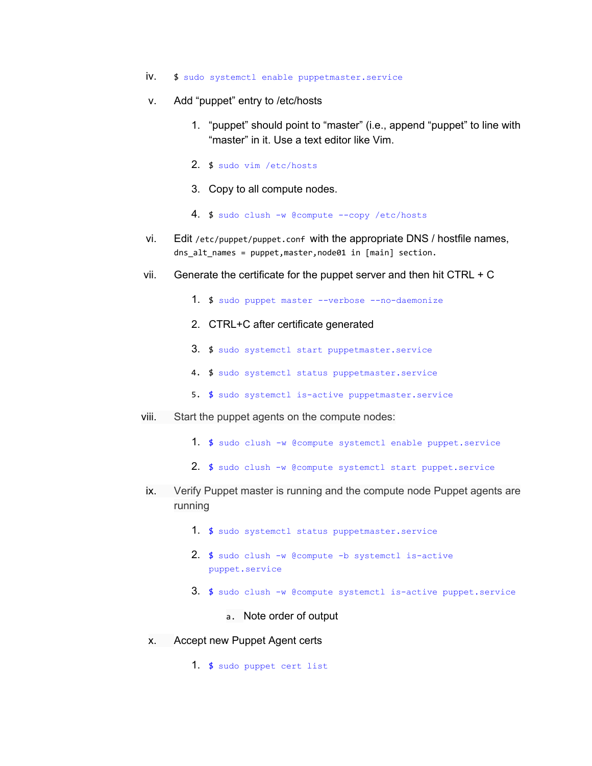- iv. \$ sudo systemctl enable puppetmaster.service
- v. Add "puppet" entry to /etc/hosts
	- 1. "puppet" should point to "master" (i.e., append "puppet" to line with "master" in it. Use a text editor like Vim.
	- 2. \$ sudo vim /etc/hosts
	- 3. Copy to all compute nodes.
	- 4. \$ sudo clush -w @compute --copy /etc/hosts
- vi. Edit /etc/puppet/puppet.conf with the appropriate DNS / hostfile names, dns alt names = puppet,master,node01 in [main] section.
- vii. Generate the certificate for the puppet server and then hit CTRL  $+ C$ 
	- 1. \$ sudo puppet master --verbose --no-daemonize
	- 2. CTRL+C after certificate generated
	- 3. \$ sudo systemctl start puppetmaster.service
	- 4. \$ sudo systemctl status puppetmaster.service
	- 5. \$ sudo systemctl is-active puppetmaster.service
- viii. Start the puppet agents on the compute nodes:
	- 1. \$ sudo clush -w @compute systemctl enable puppet.service
	- 2. \$ sudo clush -w @compute systemctl start puppet.service
- ix. Verify Puppet master is running and the compute node Puppet agents are running
	- 1. \$ sudo systemctl status puppetmaster.service
	- 2.  $\frac{1}{2}$  sudo clush -w @compute -b systemctl is-active puppet.service
	- 3.  $\frac{1}{2}$  sudo clush -w @compute systemctl is-active puppet.service
		- a. Note order of output
- x. Accept new Puppet Agent certs
	- 1. \$ sudo puppet cert list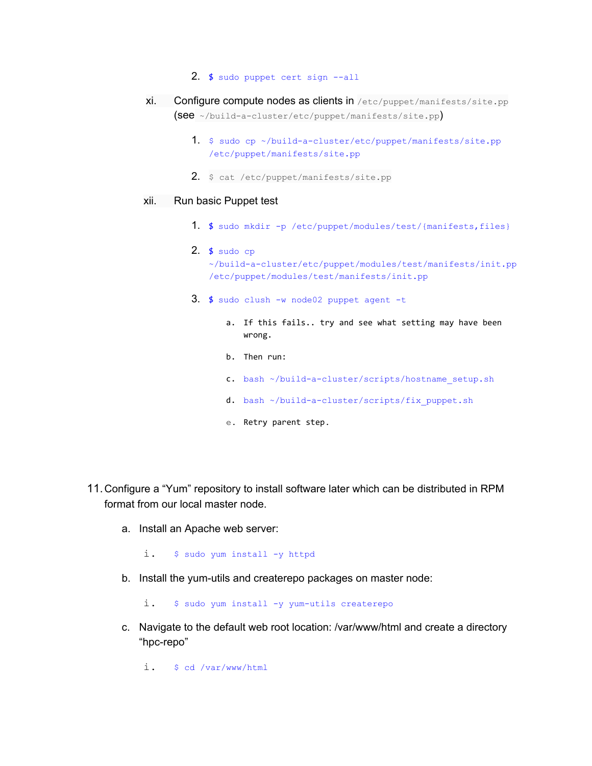- 2. \$ sudo puppet cert sign --all
- xi. Configure compute nodes as clients in /etc/puppet/manifests/site.pp (see ~/build-a-cluster/etc/puppet/manifests/site.pp)
	- 1. \$ sudo cp ~/build-a-cluster/etc/puppet/manifests/site.pp /etc/puppet/manifests/site.pp
	- 2. \$ cat /etc/puppet/manifests/site.pp

## xii. Run basic Puppet test

- 1. \$ sudo mkdir -p /etc/puppet/modules/test/{manifests,files}
- 2. \$ sudo cp ~/build-a-cluster/etc/puppet/modules/test/manifests/init.pp /etc/puppet/modules/test/manifests/init.pp
- $3.$  \$ sudo clush -w node02 puppet agent -t
	- a. If this fails.. try and see what setting may have been wrong.
	- b. Then run:
	- c. bash ~/build-a-cluster/scripts/hostname\_setup.sh
	- d. bash ~/build-a-cluster/scripts/fix puppet.sh
	- e. Retry parent step.
- 11.Configure a "Yum" repository to install software later which can be distributed in RPM format from our local master node.
	- a. Install an Apache web server:

i. \$ sudo yum install -y httpd

b. Install the yum-utils and createrepo packages on master node:

i. \$ sudo yum install -y yum-utils createrepo

c. Navigate to the default web root location: /var/www/html and create a directory "hpc-repo"

i. \$ cd /var/www/html